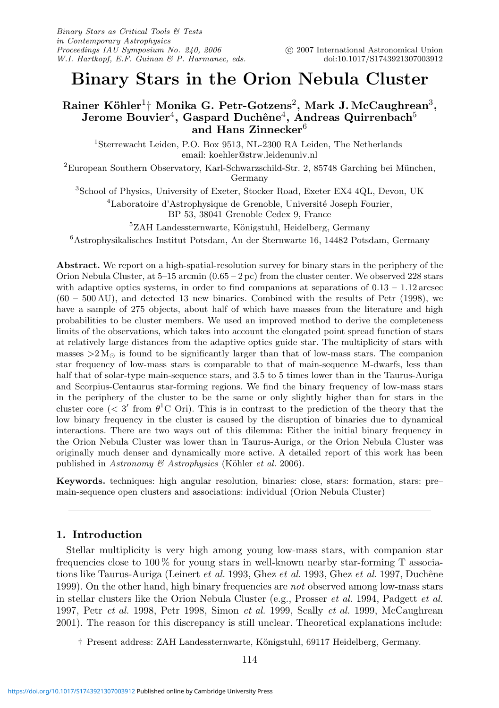# **Binary Stars in the Orion Nebula Cluster**

## **Rainer K¨ohler**1† **Monika G. Petr-Gotzens**2**, Mark J. McCaughrean**3**, Jerome Bouvier<sup>4</sup>, Gaspard Duchêne<sup>4</sup>, Andreas Quirrenbach<sup>5</sup> and Hans Zinnecker**<sup>6</sup>

<sup>1</sup>Sterrewacht Leiden, P.O. Box 9513, NL-2300 RA Leiden, The Netherlands email: koehler@strw.leidenuniv.nl

 ${}^{2}$ European Southern Observatory, Karl-Schwarzschild-Str. 2, 85748 Garching bei München, Germany

<sup>3</sup>School of Physics, University of Exeter, Stocker Road, Exeter EX4 4QL, Devon, UK

<sup>4</sup>Laboratoire d'Astrophysique de Grenoble, Université Joseph Fourier,

BP 53, 38041 Grenoble Cedex 9, France

 ${}^{5}ZAH$  Landessternwarte, Königstuhl, Heidelberg, Germany

<sup>6</sup>Astrophysikalisches Institut Potsdam, An der Sternwarte 16, 14482 Potsdam, Germany

**Abstract.** We report on a high-spatial-resolution survey for binary stars in the periphery of the Orion Nebula Cluster, at  $5-15$  arcmin  $(0.65 - 2pc)$  from the cluster center. We observed 228 stars with adaptive optics systems, in order to find companions at separations of  $0.13 - 1.12$  arcsec (60 – 500 AU), and detected 13 new binaries. Combined with the results of Petr (1998), we have a sample of 275 objects, about half of which have masses from the literature and high probabilities to be cluster members. We used an improved method to derive the completeness limits of the observations, which takes into account the elongated point spread function of stars at relatively large distances from the adaptive optics guide star. The multiplicity of stars with masses  $>2$  M<sub> $\odot$ </sub> is found to be significantly larger than that of low-mass stars. The companion star frequency of low-mass stars is comparable to that of main-sequence M-dwarfs, less than half that of solar-type main-sequence stars, and 3.5 to 5 times lower than in the Taurus-Auriga and Scorpius-Centaurus star-forming regions. We find the binary frequency of low-mass stars in the periphery of the cluster to be the same or only slightly higher than for stars in the cluster core ( $\langle 3'$  from  $\theta$ <sup>1</sup>C Ori). This is in contrast to the prediction of the theory that the low binary frequency in the cluster is caused by the disruption of binaries due to dynamical interactions. There are two ways out of this dilemma: Either the initial binary frequency in the Orion Nebula Cluster was lower than in Taurus-Auriga, or the Orion Nebula Cluster was originally much denser and dynamically more active. A detailed report of this work has been published in Astronomy & Astrophysics (Köhler et al. 2006).

**Keywords.** techniques: high angular resolution, binaries: close, stars: formation, stars: pre– main-sequence open clusters and associations: individual (Orion Nebula Cluster)

## **1. Introduction**

Stellar multiplicity is very high among young low-mass stars, with companion star frequencies close to 100 % for young stars in well-known nearby star-forming T associations like Taurus-Auriga (Leinert et al. 1993, Ghez et al. 1993, Ghez et al. 1997, Duchêne 1999). On the other hand, high binary frequencies are not observed among low-mass stars in stellar clusters like the Orion Nebula Cluster (e.g., Prosser et al. 1994, Padgett et al. 1997, Petr *et al.* 1998, Petr 1998, Simon *et al.* 1999, Scally *et al.* 1999, McCaughrean 2001). The reason for this discrepancy is still unclear. Theoretical explanations include:

† Present address: ZAH Landessternwarte, K¨onigstuhl, 69117 Heidelberg, Germany.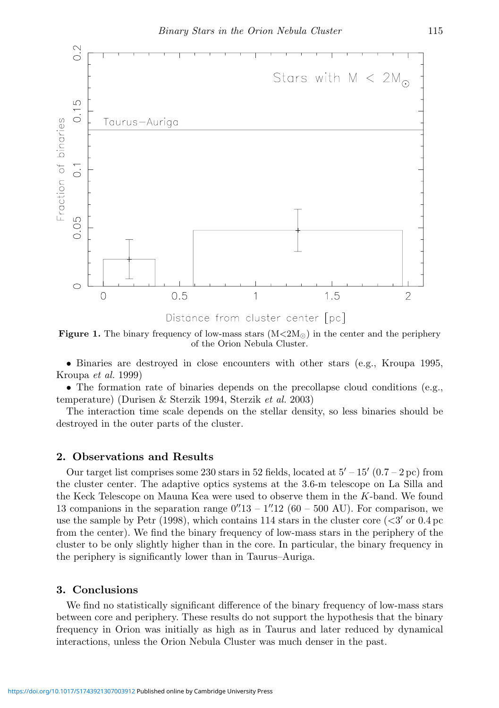

**Figure 1.** The binary frequency of low-mass stars  $(M<2M<sub>o</sub>)$  in the center and the periphery of the Orion Nebula Cluster.

• Binaries are destroyed in close encounters with other stars (e.g., Kroupa 1995, Kroupa et al. 1999)

• The formation rate of binaries depends on the precollapse cloud conditions (e.g., temperature) (Durisen & Sterzik 1994, Sterzik et al. 2003)

The interaction time scale depends on the stellar density, so less binaries should be destroyed in the outer parts of the cluster.

## **2. Observations and Results**

Our target list comprises some 230 stars in 52 fields, located at  $5' - 15'$  (0.7 – 2 pc) from the cluster center. The adaptive optics systems at the 3.6-m telescope on La Silla and the Keck Telescope on Mauna Kea were used to observe them in the K-band. We found 13 companions in the separation range  $0''/13 - 1''/12$  (60 – 500 AU). For comparison, we use the sample by Petr (1998), which contains 114 stars in the cluster core  $\langle 3' \rangle$  or 0.4 pc from the center). We find the binary frequency of low-mass stars in the periphery of the cluster to be only slightly higher than in the core. In particular, the binary frequency in the periphery is significantly lower than in Taurus–Auriga.

### **3. Conclusions**

We find no statistically significant difference of the binary frequency of low-mass stars between core and periphery. These results do not support the hypothesis that the binary frequency in Orion was initially as high as in Taurus and later reduced by dynamical interactions, unless the Orion Nebula Cluster was much denser in the past.